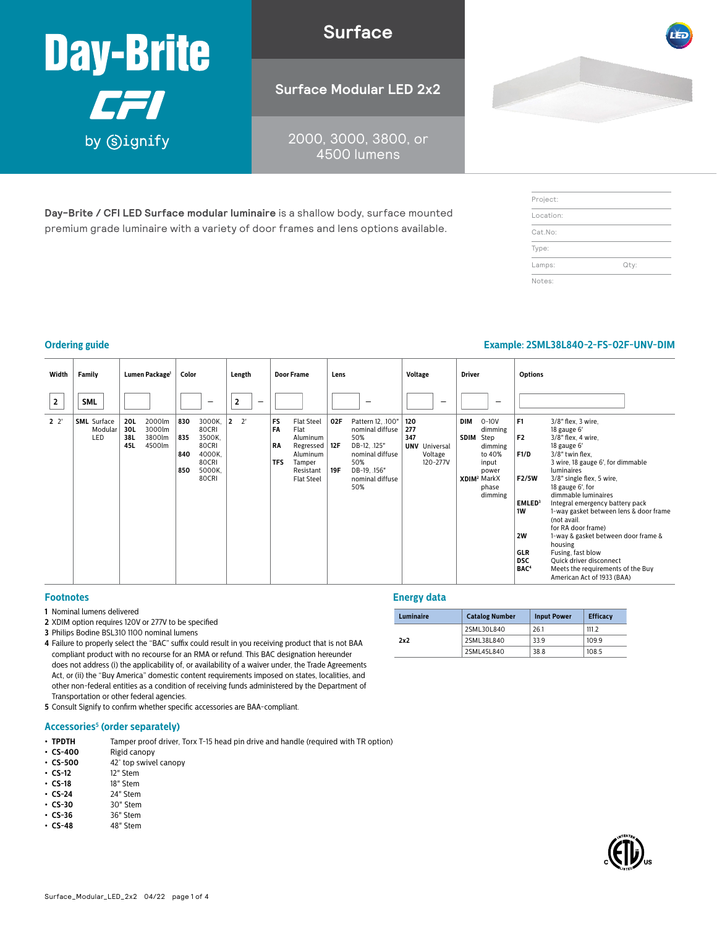

**Surface**

**Surface Modular LED 2x2**

2000, 3000, 3800, or 4500 lumens

**Day-Brite / CFI LED Surface modular luminaire** is a shallow body, surface mounted premium grade luminaire with a variety of door frames and lens options available.

| Project:  |      |
|-----------|------|
| Location: |      |
| Cat.No:   |      |
| Type:     |      |
| Lamps:    | Qty: |
| Notes:    |      |

## **Ordering guide Example: 2SML38L840-2-FS-02F-UNV-DIM**

| Width          | Family                               |                          | Lumen Package <sup>1</sup>           | Color                    |                                                                          | Length                         |   |                                     | <b>Door Frame</b>                                                                                          | Lens                     |                                                                                                                                 | <b>Voltage</b><br><b>Options</b><br><b>Driver</b> |                                             |             |                                                                                                                    |                                                                                                                                     |                                                                                                                                                                                                                                                                                                                                                                                                                                                                                                             |  |  |  |  |  |  |  |  |
|----------------|--------------------------------------|--------------------------|--------------------------------------|--------------------------|--------------------------------------------------------------------------|--------------------------------|---|-------------------------------------|------------------------------------------------------------------------------------------------------------|--------------------------|---------------------------------------------------------------------------------------------------------------------------------|---------------------------------------------------|---------------------------------------------|-------------|--------------------------------------------------------------------------------------------------------------------|-------------------------------------------------------------------------------------------------------------------------------------|-------------------------------------------------------------------------------------------------------------------------------------------------------------------------------------------------------------------------------------------------------------------------------------------------------------------------------------------------------------------------------------------------------------------------------------------------------------------------------------------------------------|--|--|--|--|--|--|--|--|
| $\overline{2}$ | <b>SML</b>                           |                          |                                      |                          |                                                                          |                                | - |                                     |                                                                                                            |                          | -                                                                                                                               |                                                   | $\overline{\phantom{0}}$                    |             | $\overline{\phantom{0}}$                                                                                           |                                                                                                                                     |                                                                                                                                                                                                                                                                                                                                                                                                                                                                                                             |  |  |  |  |  |  |  |  |
| $2^{\circ}$    | <b>SML</b> Surface<br>Modular<br>LED | 20L<br>30L<br>38L<br>45L | 2000lm<br>3000lm<br>3800lm<br>4500lm | 830<br>835<br>840<br>850 | 3000K,<br>80CRI<br>3500K,<br>80CRI<br>4000K.<br>80CRI<br>5000K,<br>80CRI | $2^{\prime}$<br>$\overline{2}$ |   | FS<br>FA<br><b>RA</b><br><b>TFS</b> | <b>Flat Steel</b><br>Flat<br>Aluminum<br>Regressed<br>Aluminum<br>Tamper<br>Resistant<br><b>Flat Steel</b> | 02F<br>12F<br><b>19F</b> | Pattern 12, .100"<br>nominal diffuse<br>50%<br>DB-12, .125"<br>nominal diffuse<br>50%<br>DB-19, .156"<br>nominal diffuse<br>50% | 120<br>277<br>347                                 | <b>UNV</b> Universal<br>Voltage<br>120-277V | DIM<br>SDIM | $0 - 10V$<br>dimming<br>Step<br>dimming<br>to 40%<br>input<br>power<br>XDIM <sup>2</sup> MarkX<br>phase<br>dimming | F <sub>1</sub><br>F <sub>2</sub><br>F1/D<br>F2/5W<br>EMLED <sup>3</sup><br>1W<br>2W<br><b>GLR</b><br><b>DSC</b><br>BAC <sup>4</sup> | 3/8" flex, 3 wire,<br>18 gauge 6'<br>3/8" flex, 4 wire,<br>18 gauge 6'<br>3/8" twin flex,<br>3 wire, 18 gauge 6', for dimmable<br>luminaires<br>3/8" single flex, 5 wire,<br>18 gauge 6', for<br>dimmable luminaires<br>Integral emergency battery pack<br>1-way gasket between lens & door frame<br>(not avail.<br>for RA door frame)<br>1-way & gasket between door frame &<br>housing<br>Fusing, fast blow<br>Quick driver disconnect<br>Meets the requirements of the Buy<br>American Act of 1933 (BAA) |  |  |  |  |  |  |  |  |

#### **Footnotes**

- **1** Nominal lumens delivered
- **2** XDIM option requires 120V or 277V to be specified
- **3** Philips Bodine BSL310 1100 nominal lumens
- **4** Failure to properly select the "BAC" suffix could result in you receiving product that is not BAA compliant product with no recourse for an RMA or refund. This BAC designation hereunder does not address (i) the applicability of, or availability of a waiver under, the Trade Agreements Act, or (ii) the "Buy America" domestic content requirements imposed on states, localities, and other non-federal entities as a condition of receiving funds administered by the Department of Transportation or other federal agencies.
- **5** Consult Signify to confirm whether specific accessories are BAA-compliant.

#### **Accessories5 (order separately)**

- **TPDTH** Tamper proof driver, Torx T-15 head pin drive and handle (required with TR option)  **CS-400** Rigid canopy
- **Rigid canopy**
- **CS-500** 42° top swivel canopy<br>• **CS-12** 12" Stem
- **• CS-12** 12" Stem<br>**• CS-18** 18" Stem
- **• CS-18** 18" Stem
- **CS-24** 24" Stem<br>• **CS-30** 30" Stem
- **• CS-30** 30" Stem
- **• CS-36** 36" Stem<br>**• CS-48** 48" Stem
- $\cdot$  CS-48

#### **Energy data**

|  | Luminaire | <b>Catalog Number</b> | <b>Input Power</b> | <b>Efficacy</b> |
|--|-----------|-----------------------|--------------------|-----------------|
|  | 2x2       | 2SML30L840            | 26.1               | 111.2           |
|  |           | 2SML38L840            | 33.9               | 109.9           |
|  |           | 2SML45L840            | 38.8               | 108.5           |

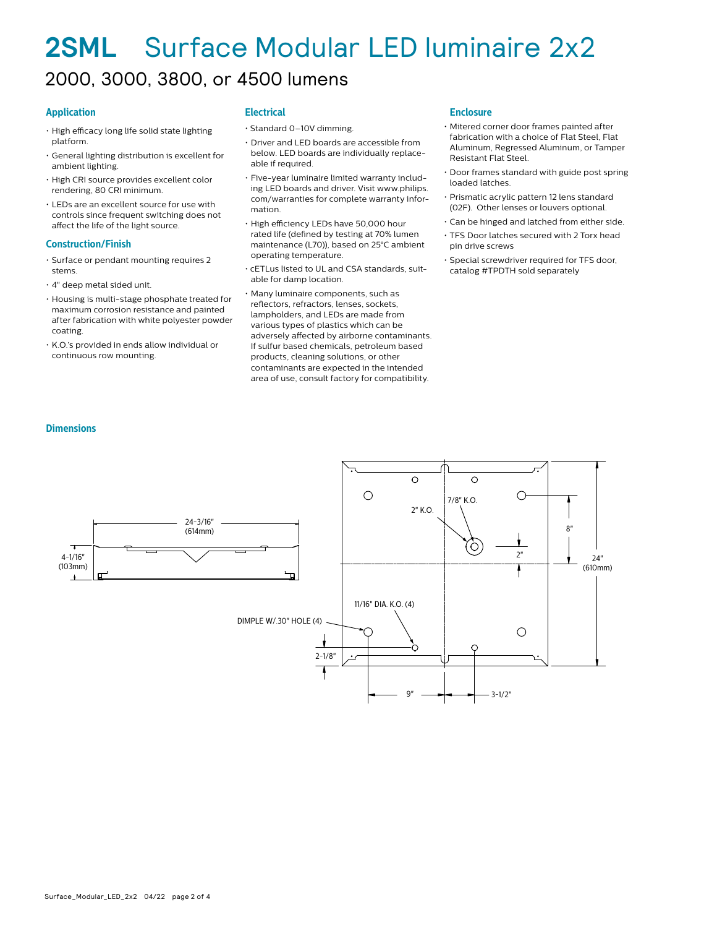## **2SML** Surface Modular LED luminaire 2x2 2000, 3000, 3800, or 4500 lumens

### **Application**

- High efficacy long life solid state lighting platform.
- General lighting distribution is excellent for ambient lighting.
- High CRI source provides excellent color rendering, 80 CRI minimum.
- LEDs are an excellent source for use with controls since frequent switching does not affect the life of the light source.

#### **Construction/Finish**

**Dimensions**

- Surface or pendant mounting requires 2 stems.
- 4" deep metal sided unit.
- Housing is multi-stage phosphate treated for maximum corrosion resistance and painted after fabrication with white polyester powder coating.
- K.O.'s provided in ends allow individual or continuous row mounting.

#### **Electrical**

- Standard 0–10V dimming.
- Driver and LED boards are accessible from below. LED boards are individually replaceable if required.
- Five-year luminaire limited warranty including LED boards and driver. Visit www.philips. com/warranties for complete warranty information.
- High efficiency LEDs have 50,000 hour rated life (defined by testing at 70% lumen maintenance (L70)), based on 25°C ambient operating temperature.
- cETLus listed to UL and CSA standards, suitable for damp location.
- Many luminaire components, such as reflectors, refractors, lenses, sockets, lampholders, and LEDs are made from various types of plastics which can be adversely affected by airborne contaminants. If sulfur based chemicals, petroleum based products, cleaning solutions, or other contaminants are expected in the intended area of use, consult factory for compatibility.

#### **Enclosure**

- Mitered corner door frames painted after fabrication with a choice of Flat Steel, Flat Aluminum, Regressed Aluminum, or Tamper Resistant Flat Steel.
- Door frames standard with guide post spring loaded latches.
- Prismatic acrylic pattern 12 lens standard (02F). Other lenses or louvers optional.
- Can be hinged and latched from either side.
- TFS Door latches secured with 2 Torx head pin drive screws
- Special screwdriver required for TFS door, catalog #TPDTH sold separately

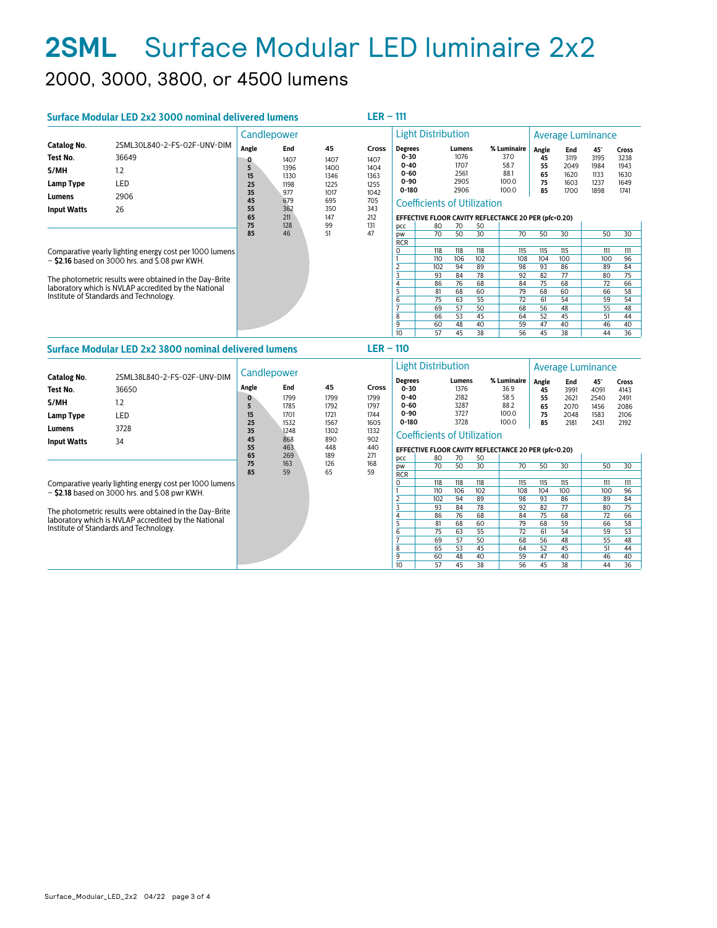# **2SML** Surface Modular LED luminaire 2x2 2000, 3000, 3800, or 4500 lumens

| Surface Modular LED 2x2 3000 nominal delivered lumens                                                                                                                                                                                                                   |                                                            |                                   |                                            |                                                   | $LER - 111$                                   |                                                                             |                                                                  |                                                                  |                                                                  |                                                                  |                                                                  |                                                                  |                                                                              |                                               |  |
|-------------------------------------------------------------------------------------------------------------------------------------------------------------------------------------------------------------------------------------------------------------------------|------------------------------------------------------------|-----------------------------------|--------------------------------------------|---------------------------------------------------|-----------------------------------------------|-----------------------------------------------------------------------------|------------------------------------------------------------------|------------------------------------------------------------------|------------------------------------------------------------------|------------------------------------------------------------------|------------------------------------------------------------------|------------------------------------------------------------------|------------------------------------------------------------------------------|-----------------------------------------------|--|
|                                                                                                                                                                                                                                                                         |                                                            | Candlepower                       |                                            |                                                   |                                               | <b>Light Distribution</b>                                                   |                                                                  |                                                                  |                                                                  |                                                                  | Average Luminance                                                |                                                                  |                                                                              |                                               |  |
| <b>Catalog No.</b><br>Test No.<br>S/MH<br>Lamp Type<br>Lumens                                                                                                                                                                                                           | 2SML30L840-2-FS-02F-UNV-DIM<br>36649<br>1.2<br>LED<br>2906 | Angle<br>0<br>5<br>15<br>25<br>35 | End<br>1407<br>1396<br>1330<br>1198<br>977 | 45<br>1407<br>1400<br>1346<br>1225<br>1017<br>695 | Cross<br>1407<br>1404<br>1363<br>1255<br>1042 | <b>Degrees</b><br>$0 - 30$<br>$0 - 40$<br>$0 - 60$<br>$0 - 90$<br>$0 - 180$ |                                                                  | Lumens<br>1076<br>1707<br>2561<br>2905<br>2906                   |                                                                  | % Luminaire<br>37.0<br>58.7<br>88.1<br>100.0<br>100.0            | Angle<br>45<br>55<br>65<br>75<br>85                              | End<br>3119<br>2049<br>1620<br>1603<br>1700                      | 45°<br>3195<br>1984<br>1133<br>1237<br>1898                                  | Cross<br>3238<br>1943<br>1630<br>1649<br>1741 |  |
| <b>Input Watts</b>                                                                                                                                                                                                                                                      | 26                                                         | 45<br>55<br>65<br>75<br>85        | 679<br>362<br>211<br>128<br>46             | 350<br>147<br>99<br>51                            | 705<br>343<br>212<br>131<br>47                | pcc<br><b>DW</b>                                                            | <b>Coefficients of Utilization</b><br>80<br>70                   | 70<br>50                                                         | 50<br>30                                                         | EFFECTIVE FLOOR CAVITY REFLECTANCE 20 PER (pfc=0.20)<br>70       | 50                                                               | 30                                                               | 50                                                                           | 30                                            |  |
| Comparative yearly lighting energy cost per 1000 lumens<br>$-$ \$2.16 based on 3000 hrs. and \$.08 pwr KWH.<br>The photometric results were obtained in the Day-Brite<br>laboratory which is NVLAP accredited by the National<br>Institute of Standards and Technology. |                                                            |                                   |                                            |                                                   | <b>RCR</b><br>$\sqrt{2}$<br>8<br>9<br>10      | 118<br>110<br>102<br>93<br>86<br>81<br>75<br>69<br>66<br>60<br>57           | 118<br>106<br>94<br>84<br>76<br>68<br>63<br>57<br>53<br>48<br>45 | 118<br>102<br>89<br>78<br>68<br>60<br>55<br>50<br>45<br>40<br>38 | 115<br>108<br>98<br>92<br>84<br>79<br>72<br>68<br>64<br>59<br>56 | 115<br>104<br>93<br>82<br>75<br>68<br>61<br>56<br>52<br>47<br>45 | 115<br>100<br>86<br>77<br>68<br>60<br>54<br>48<br>45<br>40<br>38 | 111<br>100<br>89<br>80<br>72<br>66<br>59<br>55<br>51<br>46<br>44 | 111<br>96<br>84<br>75<br>66<br>58<br>$\overline{54}$<br>48<br>44<br>40<br>36 |                                               |  |

## **Surface Modular LED 2x2 3800 nominal delivered lumens**

|                                                                                                |                                                                                                                                                                       | Candlepower                  |                                                                               |                                            |                                                                                 |                                                                             | <b>Light Distribution</b>                                                                            |                                                |                                        | Average Luminance                                     |                                        |                                             |                                                    |                                                      |
|------------------------------------------------------------------------------------------------|-----------------------------------------------------------------------------------------------------------------------------------------------------------------------|------------------------------|-------------------------------------------------------------------------------|--------------------------------------------|---------------------------------------------------------------------------------|-----------------------------------------------------------------------------|------------------------------------------------------------------------------------------------------|------------------------------------------------|----------------------------------------|-------------------------------------------------------|----------------------------------------|---------------------------------------------|----------------------------------------------------|------------------------------------------------------|
| <b>Catalog No.</b><br>Test No.<br>S/MH<br>Lamp Type<br>Lumens                                  | 2SML38L840-2-FS-02F-UNV-DIM<br>36650<br>1.2<br>LED<br>3728                                                                                                            | Angle<br>5<br>15<br>25<br>35 | End<br>1799<br>1785<br>1701<br>1532<br>1248<br>868<br>463<br>269<br>163<br>59 | 45<br>1799<br>1792<br>1721<br>1567<br>1302 | Cross<br>1799<br>1797<br>1744<br>1605<br>1332<br>902<br>440<br>271<br>168<br>59 | <b>Degrees</b><br>$0 - 30$<br>$0 - 40$<br>$0 - 60$<br>$0 - 90$<br>$0 - 180$ | <b>Coefficients of Utilization</b>                                                                   | Lumens<br>1376<br>2182<br>3287<br>3727<br>3728 |                                        | % Luminaire<br>36.9<br>58.5<br>88.2<br>100.0<br>100.0 | Angle<br>45<br>55<br>65<br>75<br>85    | End<br>3991<br>2621<br>2070<br>2048<br>2181 | $45^\circ$<br>4091<br>2540<br>1456<br>1583<br>2431 | <b>Cross</b><br>4143<br>2491<br>2086<br>2106<br>2192 |
| <b>Input Watts</b>                                                                             | 34                                                                                                                                                                    | 45<br>55<br>65<br>75<br>85   |                                                                               | 890<br>448<br>189<br>126<br>65             |                                                                                 | pcc<br><b>DW</b><br><b>RCR</b>                                              | EFFECTIVE FLOOR CAVITY REFLECTANCE 20 PER (pfc=0.20)<br>80<br>70<br>50<br>70<br>30<br>70<br>50<br>50 |                                                |                                        |                                                       |                                        | 30                                          | 50                                                 | 30                                                   |
|                                                                                                | Comparative yearly lighting energy cost per 1000 lumens<br>$-$ \$2.18 based on 3000 hrs. and \$.08 pwr KWH.<br>The photometric results were obtained in the Day-Brite |                              |                                                                               |                                            |                                                                                 | O                                                                           | 118<br>110<br>102<br>93                                                                              | 118<br>106<br>94<br>84                         | 118<br>102<br>89<br>78                 | 115<br>108<br>98<br>92                                | 115<br>104<br>93<br>82                 | 115<br>100<br>86<br>77                      | 111<br>100<br>89<br>80                             | 111<br>96<br>84<br>75                                |
| laboratory which is NVLAP accredited by the National<br>Institute of Standards and Technology. |                                                                                                                                                                       |                              |                                                                               |                                            | 6<br>8<br>9<br>10                                                               | 86<br>81<br>75<br>69<br>65<br>60<br>57                                      | 76<br>68<br>63<br>57<br>53<br>48<br>45                                                               | 68<br>60<br>55<br>50<br>45<br>40<br>38         | 84<br>79<br>72<br>68<br>64<br>59<br>56 | 75<br>68<br>61<br>56<br>52<br>47<br>45                | 68<br>59<br>54<br>48<br>45<br>40<br>38 | 72<br>66<br>59<br>55<br>51<br>46<br>44      | 66<br>58<br>53<br>48<br>44<br>40<br>36             |                                                      |

**LER – 110**